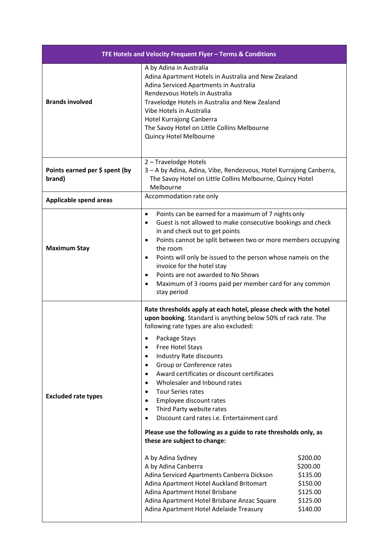| TFE Hotels and Velocity Frequent Flyer - Terms & Conditions |                                                                                                                                                                                                                                                                                                                                                                                                                                                                                                                                                                                                                                                                                                                                                                                                                                                                                                                                                                                                                                                                      |  |
|-------------------------------------------------------------|----------------------------------------------------------------------------------------------------------------------------------------------------------------------------------------------------------------------------------------------------------------------------------------------------------------------------------------------------------------------------------------------------------------------------------------------------------------------------------------------------------------------------------------------------------------------------------------------------------------------------------------------------------------------------------------------------------------------------------------------------------------------------------------------------------------------------------------------------------------------------------------------------------------------------------------------------------------------------------------------------------------------------------------------------------------------|--|
| <b>Brands involved</b>                                      | A by Adina in Australia<br>Adina Apartment Hotels in Australia and New Zealand<br>Adina Serviced Apartments in Australia<br>Rendezvous Hotels in Australia<br>Travelodge Hotels in Australia and New Zealand<br>Vibe Hotels in Australia<br>Hotel Kurrajong Canberra<br>The Savoy Hotel on Little Collins Melbourne<br>Quincy Hotel Melbourne                                                                                                                                                                                                                                                                                                                                                                                                                                                                                                                                                                                                                                                                                                                        |  |
| Points earned per \$ spent (by<br>brand)                    | 2 - Travelodge Hotels<br>3 – A by Adina, Adina, Vibe, Rendezvous, Hotel Kurrajong Canberra,<br>The Savoy Hotel on Little Collins Melbourne, Quincy Hotel<br>Melbourne                                                                                                                                                                                                                                                                                                                                                                                                                                                                                                                                                                                                                                                                                                                                                                                                                                                                                                |  |
| <b>Applicable spend areas</b>                               | Accommodation rate only                                                                                                                                                                                                                                                                                                                                                                                                                                                                                                                                                                                                                                                                                                                                                                                                                                                                                                                                                                                                                                              |  |
| <b>Maximum Stay</b>                                         | Points can be earned for a maximum of 7 nights only<br>$\bullet$<br>Guest is not allowed to make consecutive bookings and check<br>٠<br>in and check out to get points<br>Points cannot be split between two or more members occupying<br>٠<br>the room<br>Points will only be issued to the person whose nameis on the<br>$\bullet$<br>invoice for the hotel stay<br>Points are not awarded to No Shows<br>٠<br>Maximum of 3 rooms paid per member card for any common<br>stay period                                                                                                                                                                                                                                                                                                                                                                                                                                                                                                                                                                               |  |
| <b>Excluded rate types</b>                                  | Rate thresholds apply at each hotel, please check with the hotel<br>upon booking. Standard is anything below 50% of rack rate. The<br>following rate types are also excluded:<br>Package Stays<br>$\bullet$<br>Free Hotel Stays<br><b>Industry Rate discounts</b><br>$\bullet$<br>Group or Conference rates<br>$\bullet$<br>Award certificates or discount certificates<br>$\bullet$<br>Wholesaler and Inbound rates<br>$\bullet$<br><b>Tour Series rates</b><br>$\bullet$<br>Employee discount rates<br>$\bullet$<br>Third Party website rates<br>Discount card rates i.e. Entertainment card<br>$\bullet$<br>Please use the following as a guide to rate thresholds only, as<br>these are subject to change:<br>A by Adina Sydney<br>\$200.00<br>A by Adina Canberra<br>\$200.00<br>Adina Serviced Apartments Canberra Dickson<br>\$135.00<br>Adina Apartment Hotel Auckland Britomart<br>\$150.00<br>Adina Apartment Hotel Brisbane<br>\$125.00<br>Adina Apartment Hotel Brisbane Anzac Square<br>\$125.00<br>\$140.00<br>Adina Apartment Hotel Adelaide Treasury |  |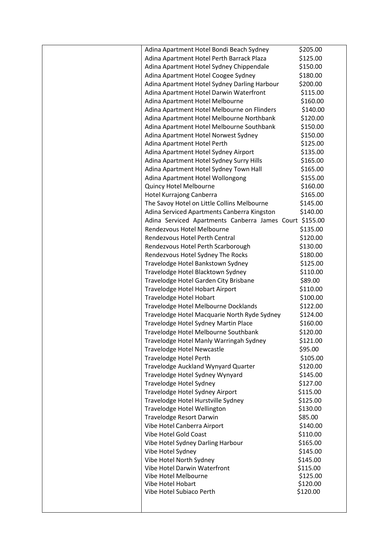| Adina Apartment Hotel Bondi Beach Sydney                | \$205.00 |
|---------------------------------------------------------|----------|
| Adina Apartment Hotel Perth Barrack Plaza               | \$125.00 |
| Adina Apartment Hotel Sydney Chippendale                | \$150.00 |
| Adina Apartment Hotel Coogee Sydney                     | \$180.00 |
| Adina Apartment Hotel Sydney Darling Harbour            | \$200.00 |
| Adina Apartment Hotel Darwin Waterfront                 | \$115.00 |
| Adina Apartment Hotel Melbourne                         | \$160.00 |
| Adina Apartment Hotel Melbourne on Flinders             | \$140.00 |
| Adina Apartment Hotel Melbourne Northbank               | \$120.00 |
| Adina Apartment Hotel Melbourne Southbank               | \$150.00 |
| Adina Apartment Hotel Norwest Sydney                    | \$150.00 |
| Adina Apartment Hotel Perth                             | \$125.00 |
| Adina Apartment Hotel Sydney Airport                    | \$135.00 |
| Adina Apartment Hotel Sydney Surry Hills                | \$165.00 |
| Adina Apartment Hotel Sydney Town Hall                  | \$165.00 |
| Adina Apartment Hotel Wollongong                        | \$155.00 |
| Quincy Hotel Melbourne                                  | \$160.00 |
| Hotel Kurrajong Canberra                                | \$165.00 |
| The Savoy Hotel on Little Collins Melbourne             | \$145.00 |
| Adina Serviced Apartments Canberra Kingston             | \$140.00 |
| Adina Serviced Apartments Canberra James Court \$155.00 |          |
| Rendezvous Hotel Melbourne                              | \$135.00 |
| Rendezvous Hotel Perth Central                          | \$120.00 |
| Rendezvous Hotel Perth Scarborough                      | \$130.00 |
| Rendezvous Hotel Sydney The Rocks                       | \$180.00 |
| Travelodge Hotel Bankstown Sydney                       | \$125.00 |
| Travelodge Hotel Blacktown Sydney                       | \$110.00 |
| Travelodge Hotel Garden City Brisbane                   | \$89.00  |
| Travelodge Hotel Hobart Airport                         | \$110.00 |
| Travelodge Hotel Hobart                                 | \$100.00 |
| Travelodge Hotel Melbourne Docklands                    | \$122.00 |
| Travelodge Hotel Macquarie North Ryde Sydney            | \$124.00 |
| Travelodge Hotel Sydney Martin Place                    | \$160.00 |
| Travelodge Hotel Melbourne Southbank                    | \$120.00 |
| Travelodge Hotel Manly Warringah Sydney                 | \$121.00 |
| <b>Travelodge Hotel Newcastle</b>                       | \$95.00  |
| Travelodge Hotel Perth                                  | \$105.00 |
| Travelodge Auckland Wynyard Quarter                     | \$120.00 |
| Travelodge Hotel Sydney Wynyard                         | \$145.00 |
| Travelodge Hotel Sydney                                 | \$127.00 |
| Travelodge Hotel Sydney Airport                         | \$115.00 |
| Travelodge Hotel Hurstville Sydney                      | \$125.00 |
| Travelodge Hotel Wellington                             | \$130.00 |
| <b>Travelodge Resort Darwin</b>                         | \$85.00  |
| Vibe Hotel Canberra Airport                             | \$140.00 |
| Vibe Hotel Gold Coast                                   | \$110.00 |
| Vibe Hotel Sydney Darling Harbour                       | \$165.00 |
| Vibe Hotel Sydney                                       | \$145.00 |
| Vibe Hotel North Sydney                                 | \$145.00 |
| Vibe Hotel Darwin Waterfront                            | \$115.00 |
| Vibe Hotel Melbourne                                    | \$125.00 |
| Vibe Hotel Hobart                                       | \$120.00 |
| Vibe Hotel Subiaco Perth                                | \$120.00 |
|                                                         |          |